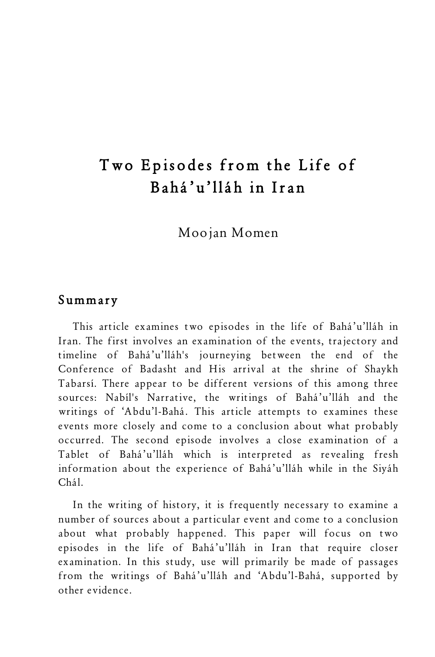# Two Episodes from the Life of Bahá'u'lláh in Iran

Moojan Momen

#### Summary

This article examines two episodes in the life of Bahá'u'lláh in Iran. The first involves an examination of the events, trajectory and timeline of Bahá'u'lláh's journeying between the end of the Conference of Badasht and His arrival at the shrine of Shaykh Tabarsí. There appear to be different versions of this among three sources: Nabíl's Narrative, the writings of Bahá'u'lláh and the writings of 'Abdu'l-Bahá. This article attempts to examines these events more closely and come to a conclusion about what probably occurred. The second episode involves a close examination of a Tablet of Bahá'u'lláh which is interpreted as revealing fresh information about the experience of Bahá'u'lláh while in the Siyáh Chál.

In the writing of history, it is frequently necessary to examine a number of sources about a particular event and come to a conclusion about what probably happened. This paper will focus on two episodes in the life of Bahá'u'lláh in Iran that require closer examination. In this study, use will primarily be made of passages from the writings of Bahá'u'lláh and 'Abdu'l-Bahá, supported by other evidence.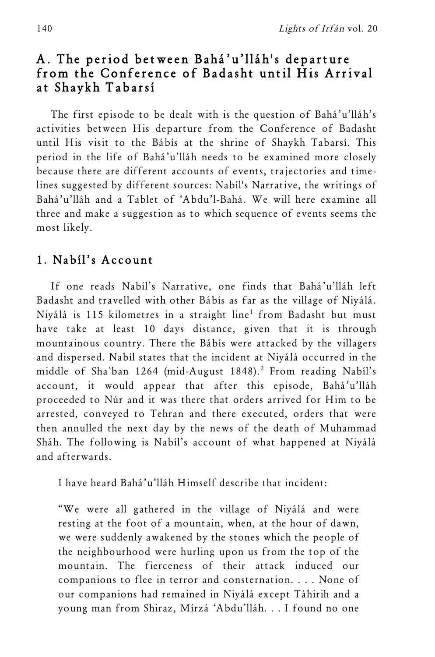# A. The period between Bahá'u'lláh's departure from the Conference of Badasht until His Arrival at Shaykh Tabarsí

The first episode to be dealt with is the question of Bahá'u'lláh's activities between His departure from the Conference of Badasht until His visit to the Bábís at the shrine of Shaykh Tabarsí. This period in the life of Bahá'u'lláh needs to be examined more closely because there are different accounts of events, trajectories and timelines suggested by different sources: Nabíl's Narrative, the writings of Bahá'u'lláh and a Tablet of 'Abdu'l-Bahá. We will here examine all three and make a suggestion as to which sequence of events seems the most likely.

### 1. Nabíl's Account

If one reads Nabíl's Narrative, one finds that Bahá'u'lláh left Badasht and travelled with other Bábís as far as the village of Niyálá. Niyálá is 115 kilometres in a straight line<sup>1</sup> from Badasht but must have take at least 10 days distance, given that it is through mountainous country. There the Bábís were attacked by the villagers and dispersed. Nabíl states that the incident at Niyálá occurred in the middle of Sha'ban 1264 (mid-August 1848).<sup>2</sup> From reading Nabíl's account, it would appear that after this episode, Bahá'u'lláh proceeded to Núr and it was there that orders arrived for Him to be arrested, conveyed to Tehran and there executed, orders that were then annulled the next day by the news of the death of Muhammad Sháh. The following is Nabíl's account of what happened at Niyálá and afterwards.

I have heard Bahá'u'lláh Himself describe that incident:

"We were all gathered in the village of Niyálá and were resting at the foot of a mountain, when, at the hour of dawn, we were suddenly awakened by the stones which the people of the neighbourhood were hurling upon us from the top of the mountain. The fierceness of their attack induced our companions to flee in terror and consternation. . . . None of our companions had remained in Niyálá except Táhirih and a young man from Shiraz, Mírzá 'Abdu'lláh. . . I found no one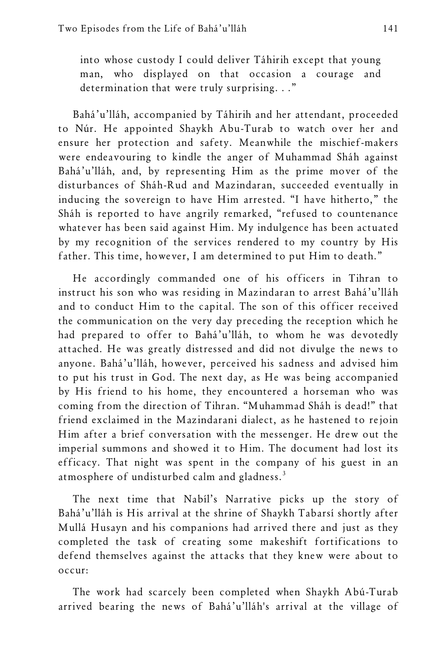into whose custody I could deliver Táhirih except that young man, who displayed on that occasion a courage and determination that were truly surprising..."

Bahá'u'lláh, accompanied by Táhirih and her attendant, proceeded to Núr. He appointed Shaykh Abu-Turab to watch over her and ensure her protection and safety. Meanwhile the mischief-makers were endeavouring to kindle the anger of Muhammad Sháh against Bahá'u'lláh, and, by representing Him as the prime mover of the disturbances of Sháh-Rud and Mazindaran, succeeded eventually in inducing the sovereign to have Him arrested. "I have hitherto," the Sháh is reported to have angrily remarked, "refused to countenance whatever has been said against Him. My indulgence has been actuated by my recognition of the services rendered to my country by His father. This time, however, I am determined to put Him to death."

He accordingly commanded one of his officers in Tihran to instruct his son who was residing in Mazindaran to arrest Bahá'u'lláh and to conduct Him to the capital. The son of this officer received the communication on the very day preceding the reception which he had prepared to offer to Bahá'u'lláh, to whom he was devotedly attached. He was greatly distressed and did not divulge the news to anyone. Bahá'u'lláh, however, perceived his sadness and advised him to put his trust in God. The next day, as He was being accompanied by His friend to his home, they encountered a horseman who was coming from the direction of Tihran. "Muhammad Sháh is dead!" that friend exclaimed in the Mazindarani dialect, as he hastened to rejoin Him after a brief conversation with the messenger. He drew out the imperial summons and showed it to Him. The document had lost its efficacy. That night was spent in the company of his guest in an atmosphere of undisturbed calm and gladness.<sup>3</sup>

The next time that Nabíl's Narrative picks up the story of Bahá'u'lláh is His arrival at the shrine of Shaykh Tabarsí shortly after Mullá Husayn and his companions had arrived there and just as they completed the task of creating some makeshift fortifications to defend themselves against the attacks that they knew were about to occur:

The work had scarcely been completed when Shaykh Abú-Turab arrived bearing the news of Bahá'u'lláh's arrival at the village of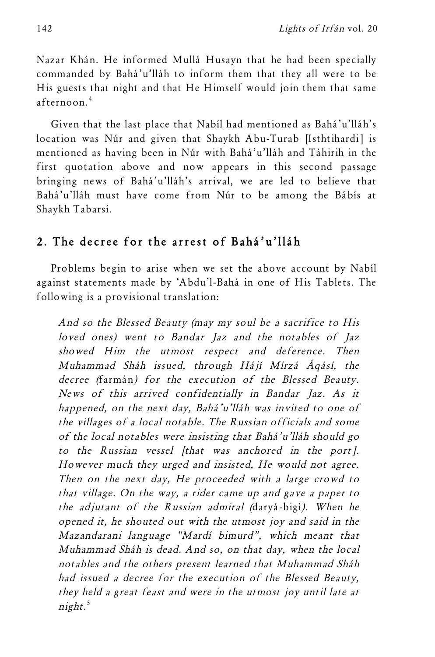Nazar Khán. He informed Mullá Husayn that he had been specially commanded by Bahá'u'lláh to inform them that they all were to be His guests that night and that He Himself would join them that same afternoon.<sup>4</sup>

Given that the last place that Nabíl had mentioned as Bahá'u'lláh's location was Núr and given that Shaykh Abu-Turab [Isthtihardi] is mentioned as having been in Núr with Bahá'u'lláh and Táhirih in the first quotation above and now appears in this second passage bringing news of Bahá'u'lláh's arrival, we are led to believe that Bahá'u'lláh must have come from Núr to be among the Bábís at Shaykh Tabarsí.

#### 2. The decree for the arrest of Bahá'u'lláh

Problems begin to arise when we set the above account by Nabíl against statements made by 'Abdu'l-Bahá in one of His Tablets. The following is a provisional translation:

And so the Blessed Beauty (may my soul be a sacrifice to His loved ones) went to Bandar Jaz and the notables of Jaz showed Him the utmost respect and deference. Then Muhammad Sháh issued, through Hájí Mírzá Áqásí, the decree (farmán) for the execution of the Blessed Beauty. News of this arrived confidentially in Bandar Jaz. As it happened, on the next day, Bahá'u'lláh was invited to one of the villages of a local notable. The Russian officials and some of the local notables were insisting that Bahá'u'lláh should go to the Russian vessel [that was anchored in the port]. However much they urged and insisted, He would not agree. Then on the next day, He proceeded with a large crowd to that village. On the way, a rider came up and gave a paper to the adjutant of the Russian admiral (daryá-bigí). When he opened it, he shouted out with the utmost joy and said in the Mazandarani language "Mardí bimurd", which meant that Muhammad Sháh is dead. And so, on that day, when the local notables and the others present learned that Muhammad Sháh had issued a decree for the execution of the Blessed Beauty, they held a great feast and were in the utmost joy until late at  $nieht.<sup>5</sup>$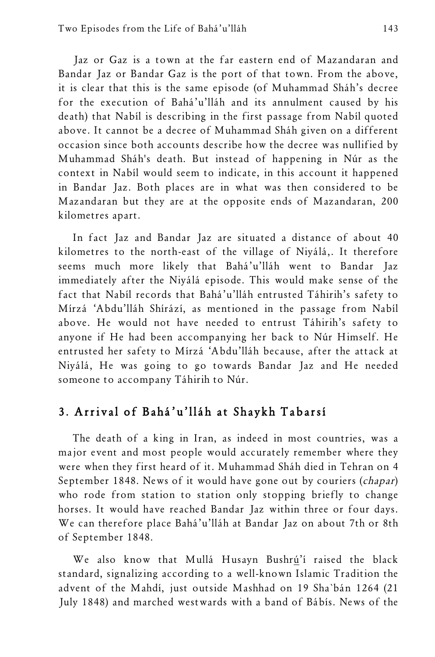Jaz or Gaz is a town at the far eastern end of Mazandaran and Bandar Jaz or Bandar Gaz is the port of that town. From the above, it is clear that this is the same episode (of Muhammad Sháh's decree for the execution of Bahá'u'lláh and its annulment caused by his death) that Nabíl is describing in the first passage from Nabíl quoted above. It cannot be a decree of Muhammad Sháh given on a different occasion since both accounts describe how the decree was nullified by Muhammad Sháh's death. But instead of happening in Núr as the context in Nabíl would seem to indicate, in this account it happened in Bandar Jaz. Both places are in what was then considered to be Mazandaran but they are at the opposite ends of Mazandaran, 200 kilometres apart.

In fact Jaz and Bandar Jaz are situated a distance of about 40 kilometres to the north-east of the village of Niyálá,. It therefore seems much more likely that Bahá'u'lláh went to Bandar Jaz immediately after the Niyálá episode. This would make sense of the fact that Nabíl records that Bahá'u'lláh entrusted Táhirih's safety to Mírzá 'Abdu'lláh Shírází, as mentioned in the passage from Nabíl above. He would not have needed to entrust Táhirih's safety to anyone if He had been accompanying her back to Núr Himself. He entrusted her safety to Mírzá 'Abdu'lláh because, after the attack at Niyálá, He was going to go towards Bandar Jaz and He needed someone to accompany Táhirih to Núr.

### 3. Arrival of Bahá'u'lláh at Shaykh Tabarsí

The death of a king in Iran, as indeed in most countries, was a major event and most people would accurately remember where they were when they first heard of it. Muhammad Sháh died in Tehran on 4 September 1848. News of it would have gone out by couriers (chapar) who rode from station to station only stopping briefly to change horses. It would have reached Bandar Jaz within three or four days. We can therefore place Bahá'u'lláh at Bandar Jaz on about 7th or 8th of September 1848.

We also know that Mullá Husayn Bushrú'í raised the black standard, signalizing according to a well-known Islamic Tradition the advent of the Mahdí, just outside Mashhad on 19 Sha`bán 1264 (21 July 1848) and marched westwards with a band of Bábís. News of the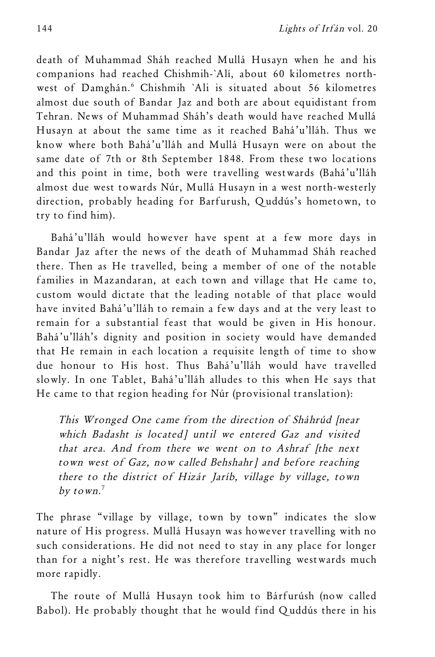death of Muhammad Sháh reached Mullá Husayn when he and his companions had reached Chishmih-`Alí, about 60 kilometres northwest of Damghán.<sup>6</sup> Chishmih `Ali is situated about 56 kilometres almost due south of Bandar Jaz and both are about equidistant from Tehran. News of Muhammad Sháh's death would have reached Mullá Husayn at about the same time as it reached Bahá'u'lláh. Thus we know where both Bahá'u'lláh and Mullá Husayn were on about the same date of 7th or 8th September 1848. From these two locations and this point in time, both were travelling westwards (Bahá'u'lláh almost due west towards Núr, Mullá Husayn in a west north-westerly direction, probably heading for Barfurush, Quddús's hometown, to try to find him).

Bahá'u'lláh would however have spent at a few more days in Bandar Jaz after the news of the death of Muhammad Sháh reached there. Then as He travelled, being a member of one of the notable families in Mazandaran, at each town and village that He came to, custom would dictate that the leading notable of that place would have invited Bahá'u'lláh to remain a few days and at the very least to remain for a substantial feast that would be given in His honour. Bahá'u'lláh's dignity and position in society would have demanded that He remain in each location a requisite length of time to show due honour to His host. Thus Bahá'u'lláh would have travelled slowly. In one Tablet, Bahá'u'lláh alludes to this when He says that He came to that region heading for Núr (provisional translation):

This Wronged One came from the direction of Sháhrúd [near which Badasht is located] until we entered Gaz and visited that area. And from there we went on to Ashraf [the next town west of Gaz, now called Behshahr] and before reaching there to the district of Hizár Jaríb, village by village, town by town.<sup>7</sup>

The phrase "village by village, town by town" indicates the slow nature of His progress. Mullá Husayn was however travelling with no such considerations. He did not need to stay in any place for longer than for a night's rest. He was therefore travelling westwards much more rapidly.

The route of Mullá Husayn took him to Bárfurúsh (now called Babol). He probably thought that he would find Quddús there in his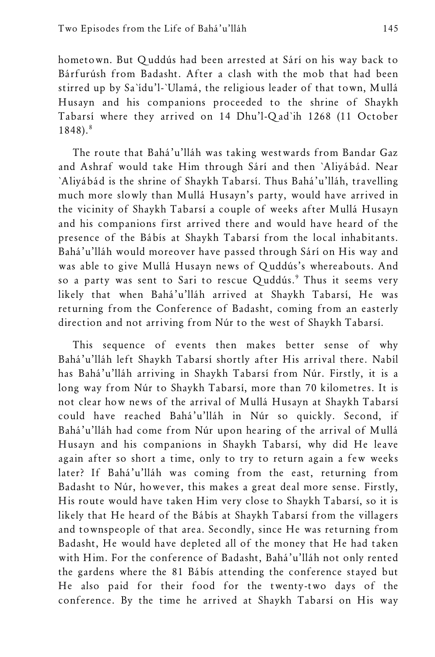hometown. But Quddús had been arrested at Sárí on his way back to Bárfurúsh from Badasht. After a clash with the mob that had been stirred up by Sa`ídu'l-`Ulamá, the religious leader of that town, Mullá Husayn and his companions proceeded to the shrine of Shaykh Tabarsí where they arrived on 14 Dhu'l-Qad`ih 1268 (11 October  $1848$ ).<sup>8</sup>

The route that Bahá'u'lláh was taking westwards from Bandar Gaz and Ashraf would take Him through Sárí and then `Aliyábád. Near `Aliyábád is the shrine of Shaykh Tabarsí. Thus Bahá'u'lláh, travelling much more slowly than Mullá Husayn's party, would have arrived in the vicinity of Shaykh Tabarsí a couple of weeks after Mullá Husayn and his companions first arrived there and would have heard of the presence of the Bábís at Shaykh Tabarsí from the local inhabitants. Bahá'u'lláh would moreover have passed through Sárí on His way and was able to give Mullá Husayn news of Quddús's whereabouts. And so a party was sent to Sari to rescue Quddús.<sup>9</sup> Thus it seems very likely that when Bahá'u'lláh arrived at Shaykh Tabarsí, He was returning from the Conference of Badasht, coming from an easterly direction and not arriving from Núr to the west of Shaykh Tabarsí.

This sequence of events then makes better sense of why Bahá'u'lláh left Shaykh Tabarsí shortly after His arrival there. Nabíl has Bahá'u'lláh arriving in Shaykh Tabarsí from Núr. Firstly, it is a long way from Núr to Shaykh Tabarsí, more than 70 kilometres. It is not clear how news of the arrival of Mullá Husayn at Shaykh Tabarsí could have reached Bahá'u'lláh in Núr so quickly. Second, if Bahá'u'lláh had come from Núr upon hearing of the arrival of Mullá Husayn and his companions in Shaykh Tabarsí, why did He leave again after so short a time, only to try to return again a few weeks later? If Bahá'u'lláh was coming from the east, returning from Badasht to Núr, however, this makes a great deal more sense. Firstly, His route would have taken Him very close to Shaykh Tabarsí, so it is likely that He heard of the Bábís at Shaykh Tabarsí from the villagers and townspeople of that area. Secondly, since He was returning from Badasht, He would have depleted all of the money that He had taken with Him. For the conference of Badasht, Bahá'u'lláh not only rented the gardens where the 81 Bábís attending the conference stayed but He also paid for their food for the twenty-two days of the conference. By the time he arrived at Shaykh Tabarsí on His way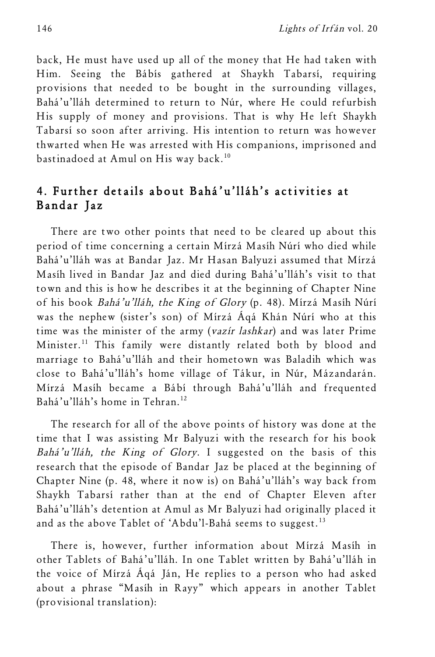back, He must have used up all of the money that He had taken with Him. Seeing the Bábís gathered at Shaykh Tabarsí, requiring provisions that needed to be bought in the surrounding villages, Bahá'u'lláh determined to return to Núr, where He could refurbish His supply of money and provisions. That is why He left Shaykh Tabarsí so soon after arriving. His intention to return was however thwarted when He was arrested with His companions, imprisoned and bastinadoed at Amul on His way back.<sup>10</sup>

# 4. Further details about Bahá'u'lláh's activities at Bandar Jaz

There are two other points that need to be cleared up about this period of time concerning a certain Mírzá Masíh Núrí who died while Bahá'u'lláh was at Bandar Jaz. Mr Hasan Balyuzi assumed that Mírzá Masíh lived in Bandar Jaz and died during Bahá'u'lláh's visit to that town and this is how he describes it at the beginning of Chapter Nine of his book Bahá'u'lláh, the King of Glory (p. 48). Mírzá Masíh Núrí was the nephew (sister's son) of Mírzá Áqá Khán Núrí who at this time was the minister of the army (vazír lashkar) and was later Prime Minister.<sup>11</sup> This family were distantly related both by blood and marriage to Bahá'u'lláh and their hometown was Baladih which was close to Bahá'u'lláh's home village of Tákur, in Núr, Mázandarán. Mírzá Masíh became a Bábí through Bahá'u'lláh and frequented  $B$ ahá'u'lláh's home in Tehran<sup>12</sup>

The research for all of the above points of history was done at the time that I was assisting Mr Balyuzi with the research for his book Bahá'u'lláh, the King of Glory. I suggested on the basis of this research that the episode of Bandar Jaz be placed at the beginning of Chapter Nine (p. 48, where it now is) on Bahá'u'lláh's way back from Shaykh Tabarsí rather than at the end of Chapter Eleven after Bahá'u'lláh's detention at Amul as Mr Balyuzi had originally placed it and as the above Tablet of 'Abdu'l-Bahá seems to suggest.<sup>13</sup>

There is, however, further information about Mírzá Masíh in other Tablets of Bahá'u'lláh. In one Tablet written by Bahá'u'lláh in the voice of Mírzá Áqá Ján, He replies to a person who had asked about a phrase "Masíh in Rayy" which appears in another Tablet (provisional translation):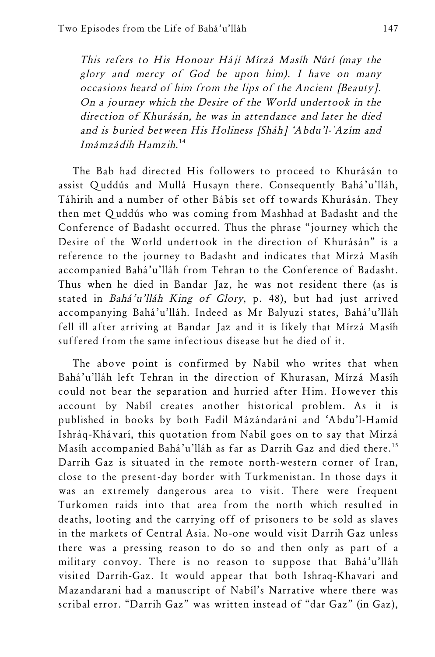This refers to His Honour Hájí Mírzá Masíh Núrí (may the glory and mercy of God be upon him). I have on many occasions heard of him from the lips of the Ancient [Beauty]. On a journey which the Desire of the World undertook in the direction of Khurásán, he was in attendance and later he died and is buried between His Holiness [Sháh] 'Abdu'l-`Azím and Imámzádih Hamzih.<sup>14</sup>

The Bab had directed His followers to proceed to Khurásán to assist Quddús and Mullá Husayn there. Consequently Bahá'u'lláh, Táhirih and a number of other Bábís set off towards Khurásán. They then met Quddús who was coming from Mashhad at Badasht and the Conference of Badasht occurred. Thus the phrase "journey which the Desire of the World undertook in the direction of Khurásán" is a reference to the journey to Badasht and indicates that Mírzá Masíh accompanied Bahá'u'lláh from Tehran to the Conference of Badasht. Thus when he died in Bandar Jaz, he was not resident there (as is stated in Bahá'u'lláh King of Glory, p. 48), but had just arrived accompanying Bahá'u'lláh. Indeed as Mr Balyuzi states, Bahá'u'lláh fell ill after arriving at Bandar Jaz and it is likely that Mírzá Masíh suffered from the same infectious disease but he died of it.

The above point is confirmed by Nabíl who writes that when Bahá'u'lláh left Tehran in the direction of Khurasan, Mírzá Masíh could not bear the separation and hurried after Him. However this account by Nabíl creates another historical problem. As it is published in books by both Fadil Mázándarání and 'Abdu'l-Hamíd Ishráq-Khávarí, this quotation from Nabíl goes on to say that Mírzá Masíh accompanied Bahá'u'lláh as far as Darrih Gaz and died there.15 Darrih Gaz is situated in the remote north-western corner of Iran, close to the present-day border with Turkmenistan. In those days it was an extremely dangerous area to visit. There were frequent Turkomen raids into that area from the north which resulted in deaths, looting and the carrying off of prisoners to be sold as slaves in the markets of Central Asia. No-one would visit Darrih Gaz unless there was a pressing reason to do so and then only as part of a military convoy. There is no reason to suppose that Bahá'u'lláh visited Darrih-Gaz. It would appear that both Ishraq-Khavari and Mazandarani had a manuscript of Nabíl's Narrative where there was scribal error. "Darrih Gaz" was written instead of "dar Gaz" (in Gaz),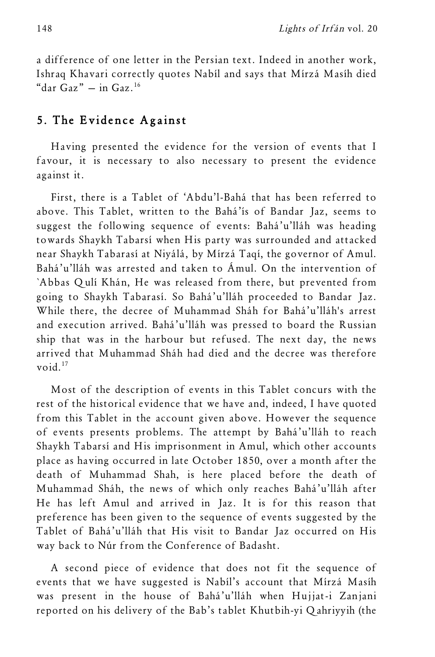a difference of one letter in the Persian text. Indeed in another work, Ishraq Khavari correctly quotes Nabíl and says that Mírzá Masíh died "dar Gaz"  $-$  in Gaz.<sup>16</sup>

#### 5. The Evidence Against

Having presented the evidence for the version of events that I favour, it is necessary to also necessary to present the evidence against it.

First, there is a Tablet of 'Abdu'l-Bahá that has been referred to above. This Tablet, written to the Bahá'ís of Bandar Jaz, seems to suggest the following sequence of events: Bahá'u'lláh was heading towards Shaykh Tabarsí when His party was surrounded and attacked near Shaykh Tabarasí at Niyálá, by Mírzá Taqí, the governor of Amul. Bahá'u'lláh was arrested and taken to Ámul. On the intervention of `Abbas Qulí Khán, He was released from there, but prevented from going to Shaykh Tabarasí. So Bahá'u'lláh proceeded to Bandar Jaz. While there, the decree of Muhammad Sháh for Bahá'u'lláh's arrest and execution arrived. Bahá'u'lláh was pressed to board the Russian ship that was in the harbour but refused. The next day, the news arrived that Muhammad Sháh had died and the decree was therefore void. $17$ 

Most of the description of events in this Tablet concurs with the rest of the historical evidence that we have and, indeed, I have quoted from this Tablet in the account given above. However the sequence of events presents problems. The attempt by Bahá'u'lláh to reach Shaykh Tabarsí and His imprisonment in Amul, which other accounts place as having occurred in late October 1850, over a month after the death of Muhammad Shah, is here placed before the death of Muhammad Sháh, the news of which only reaches Bahá'u'lláh after He has left Amul and arrived in Jaz. It is for this reason that preference has been given to the sequence of events suggested by the Tablet of Bahá'u'lláh that His visit to Bandar Jaz occurred on His way back to Núr from the Conference of Badasht.

A second piece of evidence that does not fit the sequence of events that we have suggested is Nabíl's account that Mírzá Masíh was present in the house of Bahá'u'lláh when Hujjat-i Zanjani reported on his delivery of the Bab's tablet Khutbih-yi Qahriyyih (the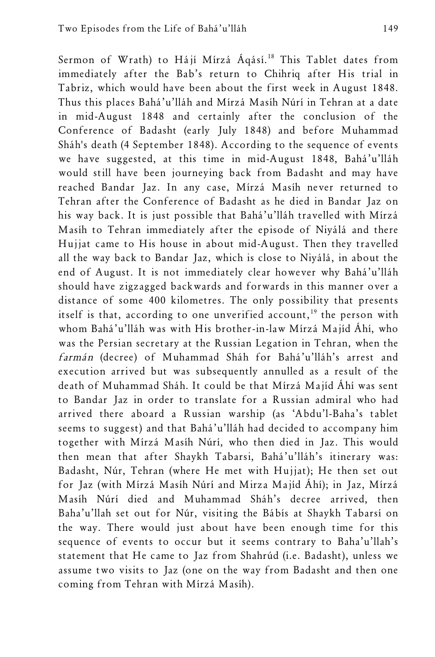Sermon of Wrath) to Hájí Mírzá Áqásí.<sup>18</sup> This Tablet dates from immediately after the Bab's return to Chihriq after His trial in Tabriz, which would have been about the first week in August 1848. Thus this places Bahá'u'lláh and Mírzá Masíh Núrí in Tehran at a date in mid-August 1848 and certainly after the conclusion of the Conference of Badasht (early July 1848) and before Muhammad Sháh's death (4 September 1848). According to the sequence of events we have suggested, at this time in mid-August 1848, Bahá'u'lláh would still have been journeying back from Badasht and may have reached Bandar Jaz. In any case, Mírzá Masíh never returned to Tehran after the Conference of Badasht as he died in Bandar Jaz on his way back. It is just possible that Bahá'u'lláh travelled with Mírzá Masíh to Tehran immediately after the episode of Niyálá and there Hujjat came to His house in about mid-August. Then they travelled all the way back to Bandar Jaz, which is close to Niyálá, in about the end of August. It is not immediately clear however why Bahá'u'lláh should have zigzagged backwards and forwards in this manner over a distance of some 400 kilometres. The only possibility that presents itself is that, according to one unverified account,<sup>19</sup> the person with whom Bahá'u'lláh was with His brother-in-law Mírzá Majíd Áhí, who was the Persian secretary at the Russian Legation in Tehran, when the farmán (decree) of Muhammad Sháh for Bahá'u'lláh's arrest and execution arrived but was subsequently annulled as a result of the death of Muhammad Sháh. It could be that Mírzá Majíd Áhí was sent to Bandar Jaz in order to translate for a Russian admiral who had arrived there aboard a Russian warship (as 'Abdu'l-Baha's tablet seems to suggest) and that Bahá'u'lláh had decided to accompany him together with Mírzá Masíh Núrí, who then died in Jaz. This would then mean that after Shaykh Tabarsi, Bahá'u'lláh's itinerary was: Badasht, Núr, Tehran (where He met with Hujjat); He then set out for Jaz (with Mírzá Masíh Núrí and Mirza Majíd Áhí); in Jaz, Mírzá Masíh Núrí died and Muhammad Sháh's decree arrived, then Baha'u'llah set out for Núr, visiting the Bábís at Shaykh Tabarsí on the way. There would just about have been enough time for this sequence of events to occur but it seems contrary to Baha'u'llah's statement that He came to Jaz from Shahrúd (i.e. Badasht), unless we assume two visits to Jaz (one on the way from Badasht and then one coming from Tehran with Mírzá Masíh).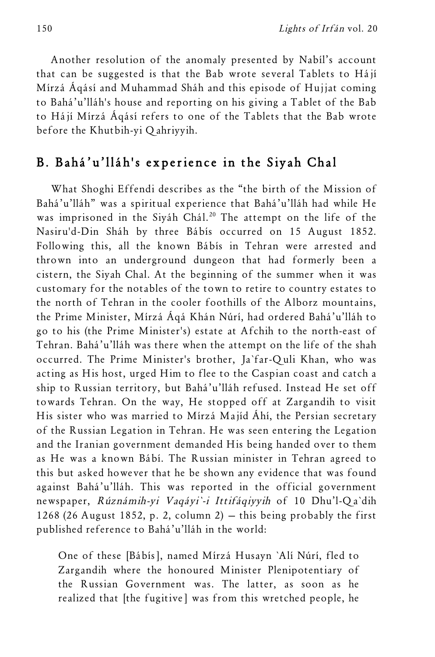Another resolution of the anomaly presented by Nabíl's account that can be suggested is that the Bab wrote several Tablets to Hájí Mírzá Áqásí and Muhammad Sháh and this episode of Hujjat coming to Bahá'u'lláh's house and reporting on his giving a Tablet of the Bab to Hájí Mírzá Áqásí refers to one of the Tablets that the Bab wrote before the Khutbih-yi Qahriyyih.

## B. Bahá'u'lláh's experience in the Siyah Chal

What Shoghi Effendi describes as the "the birth of the Mission of Bahá'u'lláh" was a spiritual experience that Bahá'u'lláh had while He was imprisoned in the Siyáh Chál.<sup>20</sup> The attempt on the life of the Nasiru'd-Din Sháh by three Bábís occurred on 15 August 1852. Following this, all the known Bábís in Tehran were arrested and thrown into an underground dungeon that had formerly been a cistern, the Siyah Chal. At the beginning of the summer when it was customary for the notables of the town to retire to country estates to the north of Tehran in the cooler foothills of the Alborz mountains, the Prime Minister, Mírzá Áqá Khán Núrí, had ordered Bahá'u'lláh to go to his (the Prime Minister's) estate at Afchih to the north-east of Tehran. Bahá'u'lláh was there when the attempt on the life of the shah occurred. The Prime Minister's brother, Ja`far-Quli Khan, who was acting as His host, urged Him to flee to the Caspian coast and catch a ship to Russian territory, but Bahá'u'lláh refused. Instead He set off towards Tehran. On the way, He stopped off at Zargandih to visit His sister who was married to Mírzá Majíd Áhí, the Persian secretary of the Russian Legation in Tehran. He was seen entering the Legation and the Iranian government demanded His being handed over to them as He was a known Bábí. The Russian minister in Tehran agreed to this but asked however that he be shown any evidence that was found against Bahá'u'lláh. This was reported in the official government newspaper, Rúznámih-yi Vaqáyi`-i Ittifáqiyyih of 10 Dhu'l-Qa`dih 1268 (26 August 1852, p. 2, column  $2$ ) – this being probably the first published reference to Bahá'u'lláh in the world:

One of these [Bábís], named Mírzá Husayn `Alí Núrí, fled to Zargandih where the honoured Minister Plenipotentiary of the Russian Government was. The latter, as soon as he realized that [the fugitive] was from this wretched people, he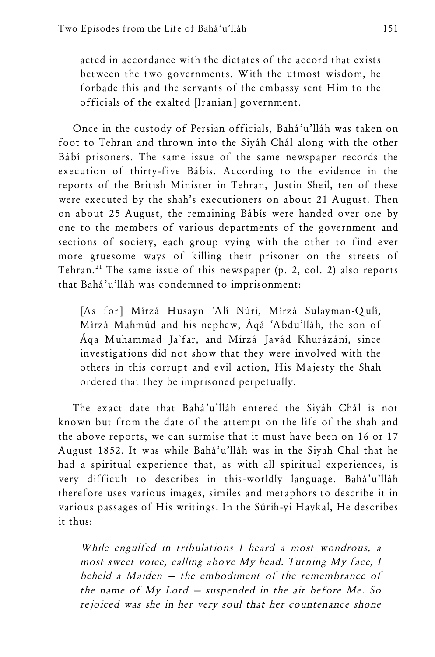acted in accordance with the dictates of the accord that exists between the two governments. With the utmost wisdom, he forbade this and the servants of the embassy sent Him to the officials of the exalted [Iranian] government.

Once in the custody of Persian officials, Bahá'u'lláh was taken on foot to Tehran and thrown into the Siyáh Chál along with the other Bábí prisoners. The same issue of the same newspaper records the execution of thirty-five Bábís. According to the evidence in the reports of the British Minister in Tehran, Justin Sheil, ten of these were executed by the shah's executioners on about 21 August. Then on about 25 August, the remaining Bábís were handed over one by one to the members of various departments of the government and sections of society, each group vying with the other to find ever more gruesome ways of killing their prisoner on the streets of Tehran.<sup>21</sup> The same issue of this newspaper (p. 2, col. 2) also reports that Bahá'u'lláh was condemned to imprisonment:

[As for] Mírzá Husayn `Alí Núrí, Mírzá Sulayman-Qulí, Mírzá Mahmúd and his nephew, Áqá 'Abdu'lláh, the son of Áqa Muhammad Ja`far, and Mírzá Javád Khurázání, since investigations did not show that they were involved with the others in this corrupt and evil action, His Majesty the Shah ordered that they be imprisoned perpetually.

The exact date that Bahá'u'lláh entered the Siyáh Chál is not known but from the date of the attempt on the life of the shah and the above reports, we can surmise that it must have been on 16 or 17 August 1852. It was while Bahá'u'lláh was in the Siyah Chal that he had a spiritual experience that, as with all spiritual experiences, is very difficult to describes in this-worldly language. Bahá'u'lláh therefore uses various images, similes and metaphors to describe it in various passages of His writings. In the Súrih-yi Haykal, He describes it thus:

While engulfed in tribulations I heard a most wondrous, a most sweet voice, calling above My head. Turning My face, I beheld a Maiden — the embodiment of the remembrance of the name of My Lord — suspended in the air before Me. So rejoiced was she in her very soul that her countenance shone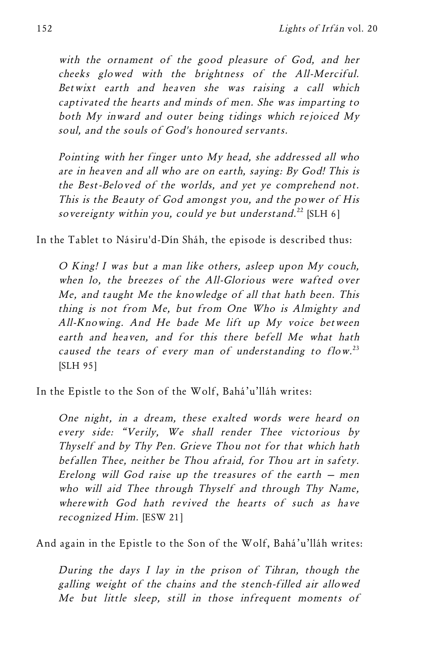with the ornament of the good pleasure of God, and her cheeks glowed with the brightness of the All-Merciful. Betwixt earth and heaven she was raising a call which captivated the hearts and minds of men. She was imparting to both My inward and outer being tidings which rejoiced My soul, and the souls of God's honoured servants.

Pointing with her finger unto My head, she addressed all who are in heaven and all who are on earth, saying: By God! This is the Best-Beloved of the worlds, and yet ye comprehend not. This is the Beauty of God amongst you, and the power of His sovereignty within you, could ye but understand.<sup>22</sup> [SLH 6]

In the Tablet to Násiru'd-Dín Sháh, the episode is described thus:

O King! I was but a man like others, asleep upon My couch, when lo, the breezes of the All-Glorious were wafted over Me, and taught Me the knowledge of all that hath been. This thing is not from Me, but from One Who is Almighty and All-Knowing. And He bade Me lift up My voice between earth and heaven, and for this there befell Me what hath caused the tears of every man of understanding to flow.<sup>23</sup> [SLH 95]

In the Epistle to the Son of the Wolf, Bahá'u'lláh writes:

One night, in a dream, these exalted words were heard on every side: "Verily, We shall render Thee victorious by Thyself and by Thy Pen. Grieve Thou not for that which hath befallen Thee, neither be Thou afraid, for Thou art in safety. Erelong will God raise up the treasures of the earth — men who will aid Thee through Thyself and through Thy Name, wherewith God hath revived the hearts of such as have recognized Him. [ESW 21]

And again in the Epistle to the Son of the Wolf, Bahá'u'lláh writes:

During the days I lay in the prison of Tihran, though the galling weight of the chains and the stench-filled air allowed Me but little sleep, still in those infrequent moments of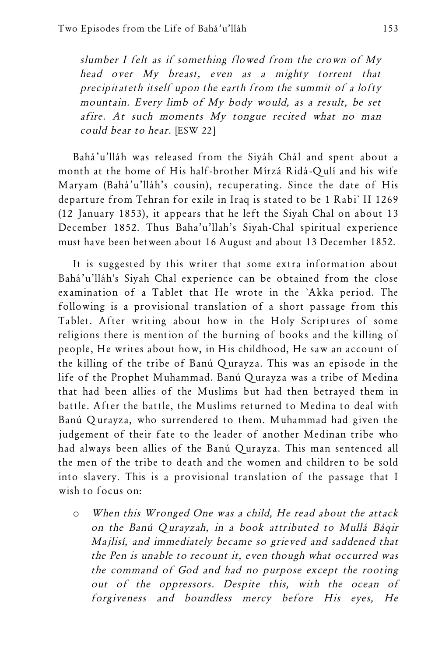slumber I felt as if something flowed from the crown of My head over My breast, even as a mighty torrent that precipitateth itself upon the earth from the summit of a lofty mountain. Every limb of My body would, as a result, be set afire. At such moments My tongue recited what no man could bear to hear. [ESW 22]

Bahá'u'lláh was released from the Siyáh Chál and spent about a month at the home of His half-brother Mírzá Ridá-Qulí and his wife Maryam (Bahá'u'lláh's cousin), recuperating. Since the date of His departure from Tehran for exile in Iraq is stated to be 1 Rabi` II 1269 (12 January 1853), it appears that he left the Siyah Chal on about 13 December 1852. Thus Baha'u'llah's Siyah-Chal spiritual experience must have been between about 16 August and about 13 December 1852.

It is suggested by this writer that some extra information about Bahá'u'lláh's Siyah Chal experience can be obtained from the close examination of a Tablet that He wrote in the `Akka period. The following is a provisional translation of a short passage from this Tablet. After writing about how in the Holy Scriptures of some religions there is mention of the burning of books and the killing of people, He writes about how, in His childhood, He saw an account of the killing of the tribe of Banú Qurayza. This was an episode in the life of the Prophet Muhammad. Banú Qurayza was a tribe of Medina that had been allies of the Muslims but had then betrayed them in battle. After the battle, the Muslims returned to Medina to deal with Banú Qurayza, who surrendered to them. Muhammad had given the judgement of their fate to the leader of another Medinan tribe who had always been allies of the Banú Qurayza. This man sentenced all the men of the tribe to death and the women and children to be sold into slavery. This is a provisional translation of the passage that I wish to focus on:

o When this Wronged One was a child, He read about the attack on the Banú Qurayzah, in a book attributed to Mullá Báqir Majlisí, and immediately became so grieved and saddened that the Pen is unable to recount it, even though what occurred was the command of God and had no purpose except the rooting out of the oppressors. Despite this, with the ocean of forgiveness and boundless mercy before His eyes, He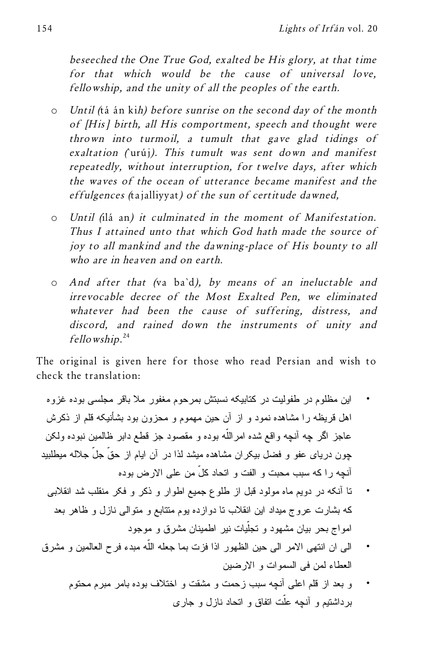beseeched the One True God, exalted be His glory, at that time for that which would be the cause of universal love, fellowship, and the unity of all the peoples of the earth.

- o Until (tá án kih) before sunrise on the second day of the month of [His] birth, all His comportment, speech and thought were thrown into turmoil, a tumult that gave glad tidings of exaltation ('urúj). This tumult was sent down and manifest repeatedly, without interruption, for twelve days, after which the waves of the ocean of utterance became manifest and the effulgences (tajalliyyat) of the sun of certitude dawned,
- o Until (ilá an) it culminated in the moment of Manifestation. Thus I attained unto that which God hath made the source of joy to all mankind and the dawning-place of His bounty to all who are in heaven and on earth.
- o And after that (va ba`d), by means of an ineluctable and irrevocable decree of the Most Exalted Pen, we eliminated whatever had been the cause of suffering, distress, and discord, and rained down the instruments of unity and fellowship.<sup>24</sup>

The original is given here for those who read Persian and wish to check the translation:

• اين مظلوم در طفوليت در کتابيکه نسبتش بمرحوم مغفور ملا باقر مجلسی بوده غزوه اهل قريظه را مشاهده نمود و از آن حين مهموم و محزون بود بشأنيکه قلم از ذکرش عاجز اگر چه آنچه واقع شده امراللّه بوده و مقصود جز قطع دابر ظالمين نبوده ولکن چون دريای عفو و فضل بيکران مشاهده ميشد لذا در آن ايام از حقّ جلّ جلاله ميطلبيد آنچه را که سبب محبت و الفت و اتحاد کلّ من علی الارض بوده

- تا آنکه در دويم ماه مولود قبل از طلوع جميع اطوار و ذکر و فکر منقلب شد انقلابی که بشارت عروج ميداد اين انقلاب تا دوازده يوم متتابع و متوالی نازل و ظاهر بعد امواج بحر بيان مشهود و تجلّيات نير اطمينان مشرق و موجود
- الی ان انتهی الامر الی حين الظهور اذا فزت بما جعله اللّه مبدء فرح العالمين و مشرق العطاء لمن فی السموات و الارضين
	- و بعد از قلم اعلی آنچه سبب زحمت و مشقت و اختلاف بوده بامر مبرم محتوم برداشتيم و آنچه علّت اتفاق و اتحاد نازل و جاری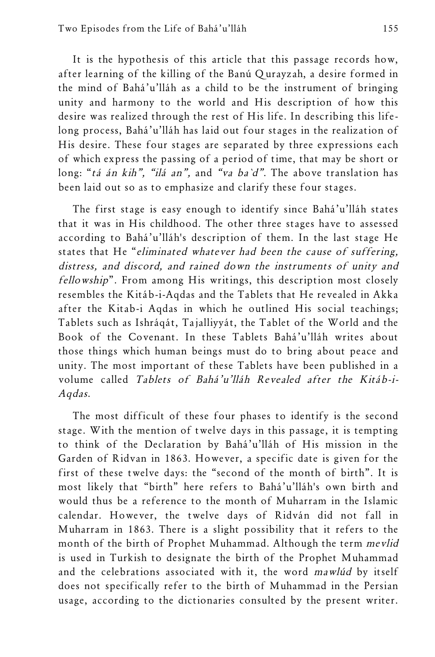It is the hypothesis of this article that this passage records how, after learning of the killing of the Banú Qurayzah, a desire formed in the mind of Bahá'u'lláh as a child to be the instrument of bringing unity and harmony to the world and His description of how this desire was realized through the rest of His life. In describing this lifelong process, Bahá'u'lláh has laid out four stages in the realization of His desire. These four stages are separated by three expressions each of which express the passing of a period of time, that may be short or long: "tá án kih", "ilá an", and "va ba`d". The above translation has been laid out so as to emphasize and clarify these four stages.

The first stage is easy enough to identify since Bahá'u'lláh states that it was in His childhood. The other three stages have to assessed according to Bahá'u'lláh's description of them. In the last stage He states that He "eliminated whatever had been the cause of suffering, distress, and discord, and rained down the instruments of unity and fellowship". From among His writings, this description most closely resembles the Kitáb-i-Aqdas and the Tablets that He revealed in Akka after the Kitab-i Aqdas in which he outlined His social teachings; Tablets such as Ishráqát, Tajalliyyát, the Tablet of the World and the Book of the Covenant. In these Tablets Bahá'u'lláh writes about those things which human beings must do to bring about peace and unity. The most important of these Tablets have been published in a volume called Tablets of Bahá'u'lláh Revealed after the Kitáb-i-Aqdas.

The most difficult of these four phases to identify is the second stage. With the mention of twelve days in this passage, it is tempting to think of the Declaration by Bahá'u'lláh of His mission in the Garden of Ridvan in 1863. However, a specific date is given for the first of these twelve days: the "second of the month of birth". It is most likely that "birth" here refers to Bahá'u'lláh's own birth and would thus be a reference to the month of Muharram in the Islamic calendar. However, the twelve days of Ridván did not fall in Muharram in 1863. There is a slight possibility that it refers to the month of the birth of Prophet Muhammad. Although the term mevlid is used in Turkish to designate the birth of the Prophet Muhammad and the celebrations associated with it, the word mawlúd by itself does not specifically refer to the birth of Muhammad in the Persian usage, according to the dictionaries consulted by the present writer.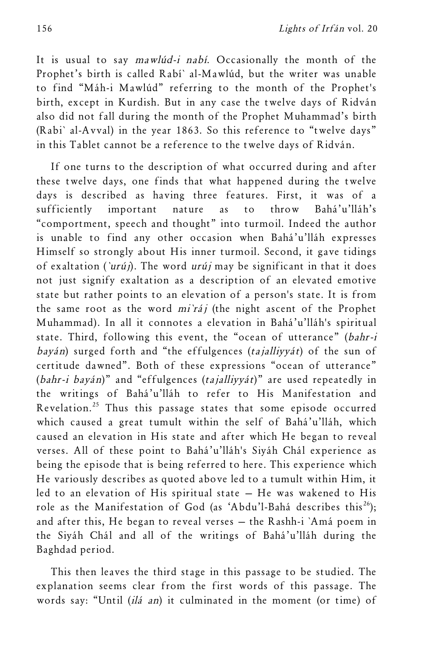It is usual to say mawlúd-i nabí. Occasionally the month of the Prophet's birth is called Rabí` al-Mawlúd, but the writer was unable to find "Máh-i Mawlúd" referring to the month of the Prophet's birth, except in Kurdish. But in any case the twelve days of Ridván also did not fall during the month of the Prophet Muhammad's birth (Rabi` al-Avval) in the year 1863. So this reference to "twelve days" in this Tablet cannot be a reference to the twelve days of Ridván.

If one turns to the description of what occurred during and after these twelve days, one finds that what happened during the twelve days is described as having three features. First, it was of a sufficiently important nature as to throw Bahá'u'lláh's "comportment, speech and thought" into turmoil. Indeed the author is unable to find any other occasion when Bahá'u'lláh expresses Himself so strongly about His inner turmoil. Second, it gave tidings of exaltation (' $urúj$ ). The word  $urúj$  may be significant in that it does not just signify exaltation as a description of an elevated emotive state but rather points to an elevation of a person's state. It is from the same root as the word  $mi' r4j$  (the night ascent of the Prophet Muhammad). In all it connotes a elevation in Bahá'u'lláh's spiritual state. Third, following this event, the "ocean of utterance" (bahr-i bayán) surged forth and "the effulgences (tajalliyyát) of the sun of certitude dawned". Both of these expressions "ocean of utterance" (bahr-i bayán)" and "effulgences (tajalliyyát)" are used repeatedly in the writings of Bahá'u'lláh to refer to His Manifestation and Revelation.25 Thus this passage states that some episode occurred which caused a great tumult within the self of Bahá'u'lláh, which caused an elevation in His state and after which He began to reveal verses. All of these point to Bahá'u'lláh's Siyáh Chál experience as being the episode that is being referred to here. This experience which He variously describes as quoted above led to a tumult within Him, it led to an elevation of His spiritual state — He was wakened to His role as the Manifestation of God (as 'Abdu'l-Bahá describes this<sup>26</sup>); and after this, He began to reveal verses — the Rashh-i `Amá poem in the Siyáh Chál and all of the writings of Bahá'u'lláh during the Baghdad period.

This then leaves the third stage in this passage to be studied. The explanation seems clear from the first words of this passage. The words say: "Until (ilá an) it culminated in the moment (or time) of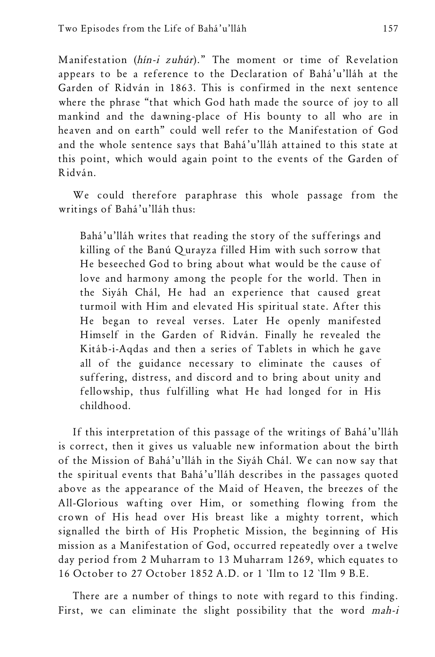Manifestation (hín-i zuhúr)." The moment or time of Revelation appears to be a reference to the Declaration of Bahá'u'lláh at the Garden of Ridván in 1863. This is confirmed in the next sentence where the phrase "that which God hath made the source of joy to all mankind and the dawning-place of His bounty to all who are in heaven and on earth" could well refer to the Manifestation of God and the whole sentence says that Bahá'u'lláh attained to this state at this point, which would again point to the events of the Garden of Ridván.

We could therefore paraphrase this whole passage from the writings of Bahá'u'lláh thus:

Bahá'u'lláh writes that reading the story of the sufferings and killing of the Banú Qurayza filled Him with such sorrow that He beseeched God to bring about what would be the cause of love and harmony among the people for the world. Then in the Siyáh Chál, He had an experience that caused great turmoil with Him and elevated His spiritual state. After this He began to reveal verses. Later He openly manifested Himself in the Garden of Ridván. Finally he revealed the Kitáb-i-Aqdas and then a series of Tablets in which he gave all of the guidance necessary to eliminate the causes of suffering, distress, and discord and to bring about unity and fellowship, thus fulfilling what He had longed for in His childhood.

If this interpretation of this passage of the writings of Bahá'u'lláh is correct, then it gives us valuable new information about the birth of the Mission of Bahá'u'lláh in the Siyáh Chál. We can now say that the spiritual events that Bahá'u'lláh describes in the passages quoted above as the appearance of the Maid of Heaven, the breezes of the All-Glorious wafting over Him, or something flowing from the crown of His head over His breast like a mighty torrent, which signalled the birth of His Prophetic Mission, the beginning of His mission as a Manifestation of God, occurred repeatedly over a twelve day period from 2 Muharram to 13 Muharram 1269, which equates to 16 October to 27 October 1852 A.D. or 1 `Ilm to 12 `Ilm 9 B.E.

There are a number of things to note with regard to this finding. First, we can eliminate the slight possibility that the word mah-i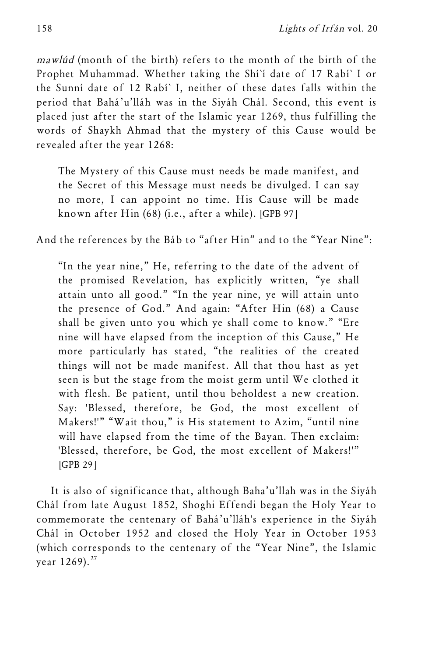mawlúd (month of the birth) refers to the month of the birth of the Prophet Muhammad. Whether taking the Shí`í date of 17 Rabí` I or the Sunní date of 12 Rabí` I, neither of these dates falls within the period that Bahá'u'lláh was in the Siyáh Chál. Second, this event is placed just after the start of the Islamic year 1269, thus fulfilling the words of Shaykh Ahmad that the mystery of this Cause would be revealed after the year 1268:

The Mystery of this Cause must needs be made manifest, and the Secret of this Message must needs be divulged. I can say no more, I can appoint no time. His Cause will be made known after Hin (68) (i.e., after a while). [GPB 97]

And the references by the Báb to "after Hin" and to the "Year Nine":

"In the year nine," He, referring to the date of the advent of the promised Revelation, has explicitly written, "ye shall attain unto all good." "In the year nine, ye will attain unto the presence of God." And again: "After Hin (68) a Cause shall be given unto you which ye shall come to know." "Ere nine will have elapsed from the inception of this Cause," He more particularly has stated, "the realities of the created things will not be made manifest. All that thou hast as yet seen is but the stage from the moist germ until We clothed it with flesh. Be patient, until thou beholdest a new creation. Say: 'Blessed, therefore, be God, the most excellent of Makers!'" "Wait thou," is His statement to Azim, "until nine will have elapsed from the time of the Bayan. Then exclaim: 'Blessed, therefore, be God, the most excellent of Makers!'" [GPB 29]

It is also of significance that, although Baha'u'llah was in the Siyáh Chál from late August 1852, Shoghi Effendi began the Holy Year to commemorate the centenary of Bahá'u'lláh's experience in the Siyáh Chál in October 1952 and closed the Holy Year in October 1953 (which corresponds to the centenary of the "Year Nine", the Islamic vear  $1269$ ).<sup>27</sup>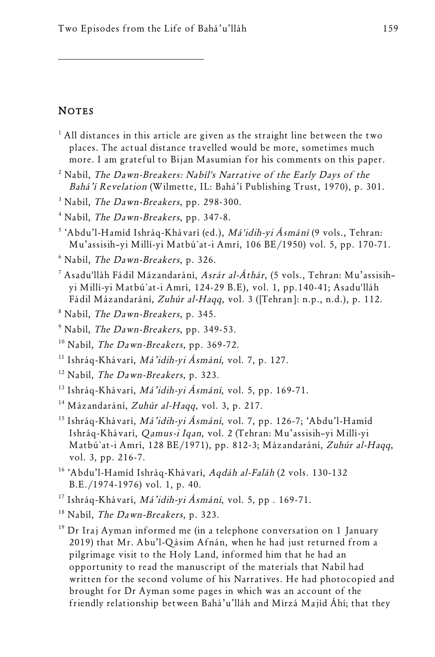#### **NOTES**

1

- $1$  All distances in this article are given as the straight line between the two places. The actual distance travelled would be more, sometimes much more. I am grateful to Bijan Masumian for his comments on this paper.
- <sup>2</sup> Nabíl, The Dawn-Breakers: Nabíl's Narrative of the Early Days of the Bahá'í Revelation (Wilmette, IL: Bahá'í Publishing Trust, 1970), p. 301.
- $3$  Nabíl, The Dawn-Breakers, pp. 298-300.
- <sup>4</sup> Nabíl, The Dawn-Breakers, pp. 347-8.
- $5$ 'Abdu'l-Hamíd Ishráq-Khávarí (ed.), Má'idih-yi Ásmání (9 vols., Tehran: Mu'assisih–yi Millí-yi Matbú`at-i Amrí, 106 BE/1950) vol. 5, pp. 170-71.
- <sup>6</sup> Nabíl, The Dawn-Breakers, p. 326.
- <sup>7</sup> Asadu'lláh Fádil Mázandarání, Asrár al-Áthár, (5 vols., Tehran: Mu'assisih– yi Millí-yi Matbú`at-i Amrí, 124-29 B.E), vol. 1, pp.140-41; Asadu'lláh Fádil Mázandarání, Zuhúr al-Haqq, vol. 3 ([Tehran]: n.p., n.d.), p. 112.
- <sup>8</sup> Nabíl, The Dawn-Breakers, p. 345.
- <sup>9</sup> Nabíl, The Dawn-Breakers, pp. 349-53.
- $10$  Nabíl, *The Dawn-Breakers*, pp. 369-72.
- <sup>11</sup> Ishráq-Khávarí, Má'idih-yi Ásmání, vol. 7, p. 127.
- <sup>12</sup> Nabíl, *The Dawn-Breakers*, p. 323.
- <sup>13</sup> Ishráq-Khávarí, Má'idih-yi Ásmání, vol. 5, pp. 169-71.
- $14$  Mázandarání, Zuhúr al-Haqq, vol. 3, p. 217.
- <sup>15</sup> Ishráq-Khávarí, Má'idih-yi Ásmání, vol. 7, pp. 126-7; 'Abdu'l-Hamíd Ishráq-Khávarí, Qamus-i Iqan, vol. 2 (Tehran: Mu'assisih–yi Millí-yi Matbú`at-i Amrí, 128 BE/1971), pp. 812-3; Mázandarání, Zuhúr al-Haqq, vol. 3, pp. 216-7.
- <sup>16</sup> 'Abdu'l-Hamíd Ishráq-Khávarí, Aqdáh al-Faláh (2 vols. 130-132 B.E./1974-1976) vol. 1, p. 40.
- <sup>17</sup> Ishráq-Khávarí, Má'idih-yi Ásmání, vol. 5, pp. 169-71.
- <sup>18</sup> Nabíl, *The Dawn-Breakers*, p. 323.
- <sup>19</sup> Dr Iraj Ayman informed me (in a telephone conversation on 1 January 2019) that Mr. Abu'l-Qásim Afnán, when he had just returned from a pilgrimage visit to the Holy Land, informed him that he had an opportunity to read the manuscript of the materials that Nabil had written for the second volume of his Narratives. He had photocopied and brought for Dr Ayman some pages in which was an account of the friendly relationship between Bahá'u'lláh and Mírzá Majíd Áhí; that they